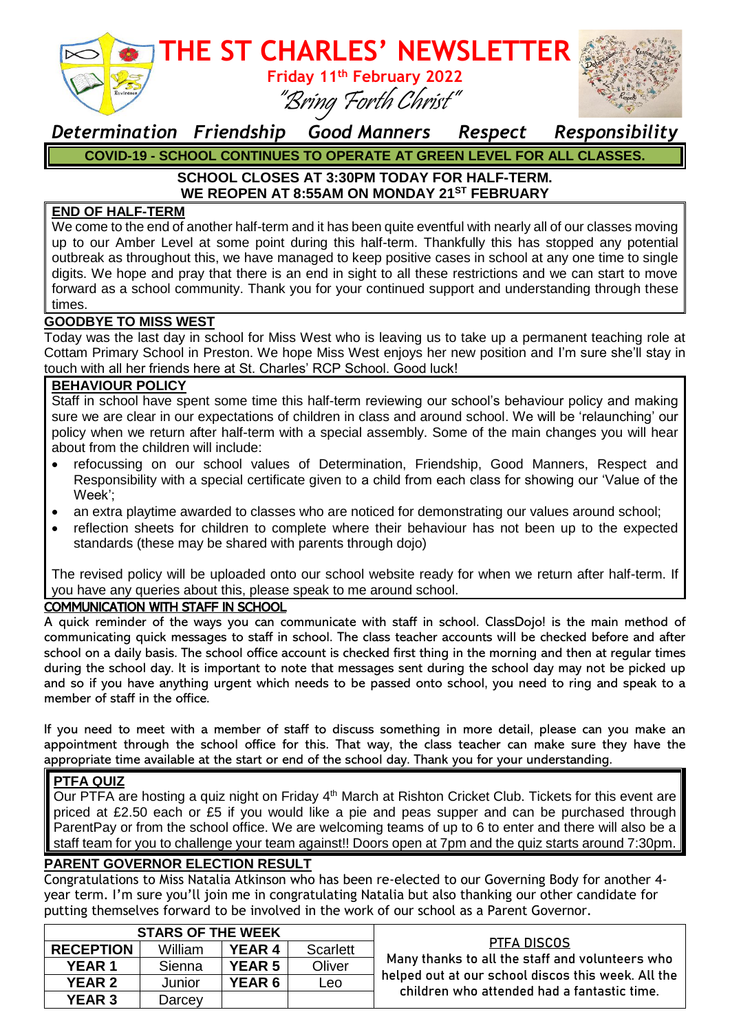

### **THE ST CHARLES' NEWSLETTER Friday 11th February 2022** "Bring Forth Christ"



### *Determination Friendship Good Manners Respect Responsibility* **COVID-19 - SCHOOL CONTINUES TO OPERATE AT GREEN LEVEL FOR ALL CLASSES.**

### **SCHOOL CLOSES AT 3:30PM TODAY FOR HALF-TERM. WE REOPEN AT 8:55AM ON MONDAY 21ST FEBRUARY**

#### **END OF HALF-TERM**

We come to the end of another half-term and it has been quite eventful with nearly all of our classes moving up to our Amber Level at some point during this half-term. Thankfully this has stopped any potential outbreak as throughout this, we have managed to keep positive cases in school at any one time to single digits. We hope and pray that there is an end in sight to all these restrictions and we can start to move forward as a school community. Thank you for your continued support and understanding through these times.

#### **GOODBYE TO MISS WEST**

Today was the last day in school for Miss West who is leaving us to take up a permanent teaching role at Cottam Primary School in Preston. We hope Miss West enjoys her new position and I'm sure she'll stay in touch with all her friends here at St. Charles' RCP School. Good luck!

#### **BEHAVIOUR POLICY**

Staff in school have spent some time this half-term reviewing our school's behaviour policy and making sure we are clear in our expectations of children in class and around school. We will be 'relaunching' our policy when we return after half-term with a special assembly. Some of the main changes you will hear about from the children will include:

- refocussing on our school values of Determination, Friendship, Good Manners, Respect and Responsibility with a special certificate given to a child from each class for showing our 'Value of the Week';
- an extra playtime awarded to classes who are noticed for demonstrating our values around school;
- reflection sheets for children to complete where their behaviour has not been up to the expected standards (these may be shared with parents through dojo)

The revised policy will be uploaded onto our school website ready for when we return after half-term. If you have any queries about this, please speak to me around school.

#### COMMUNICATION WITH STAFF IN SCHOOL

A quick reminder of the ways you can communicate with staff in school. ClassDojo! is the main method of communicating quick messages to staff in school. The class teacher accounts will be checked before and after school on a daily basis. The school office account is checked first thing in the morning and then at regular times during the school day. It is important to note that messages sent during the school day may not be picked up and so if you have anything urgent which needs to be passed onto school, you need to ring and speak to a member of staff in the office.

If you need to meet with a member of staff to discuss something in more detail, please can you make an appointment through the school office for this. That way, the class teacher can make sure they have the appropriate time available at the start or end of the school day. Thank you for your understanding.

#### **PTFA QUIZ**

Our PTFA are hosting a quiz night on Friday 4<sup>th</sup> March at Rishton Cricket Club. Tickets for this event are priced at £2.50 each or £5 if you would like a pie and peas supper and can be purchased through ParentPay or from the school office. We are welcoming teams of up to 6 to enter and there will also be a staff team for you to challenge your team against!! Doors open at 7pm and the quiz starts around 7:30pm.

#### **PARENT GOVERNOR ELECTION RESULT**

Congratulations to Miss Natalia Atkinson who has been re-elected to our Governing Body for another 4 year term. I'm sure you'll join me in congratulating Natalia but also thanking our other candidate for putting themselves forward to be involved in the work of our school as a Parent Governor.

| <b>STARS OF THE WEEK</b> |         |               |                 |                                                                                                                                                                     |
|--------------------------|---------|---------------|-----------------|---------------------------------------------------------------------------------------------------------------------------------------------------------------------|
| <b>RECEPTION</b>         | William | <b>YEAR 4</b> | <b>Scarlett</b> | PTFA DISCOS<br>Many thanks to all the staff and volunteers who<br>helped out at our school discos this week. All the<br>children who attended had a fantastic time. |
| <b>YEAR 1</b>            | Sienna  | <b>YEAR 5</b> | Oliver          |                                                                                                                                                                     |
| <b>YEAR 2</b>            | Junior  | <b>YEAR 6</b> | Leo             |                                                                                                                                                                     |
| <b>YEAR 3</b>            | Darcey  |               |                 |                                                                                                                                                                     |